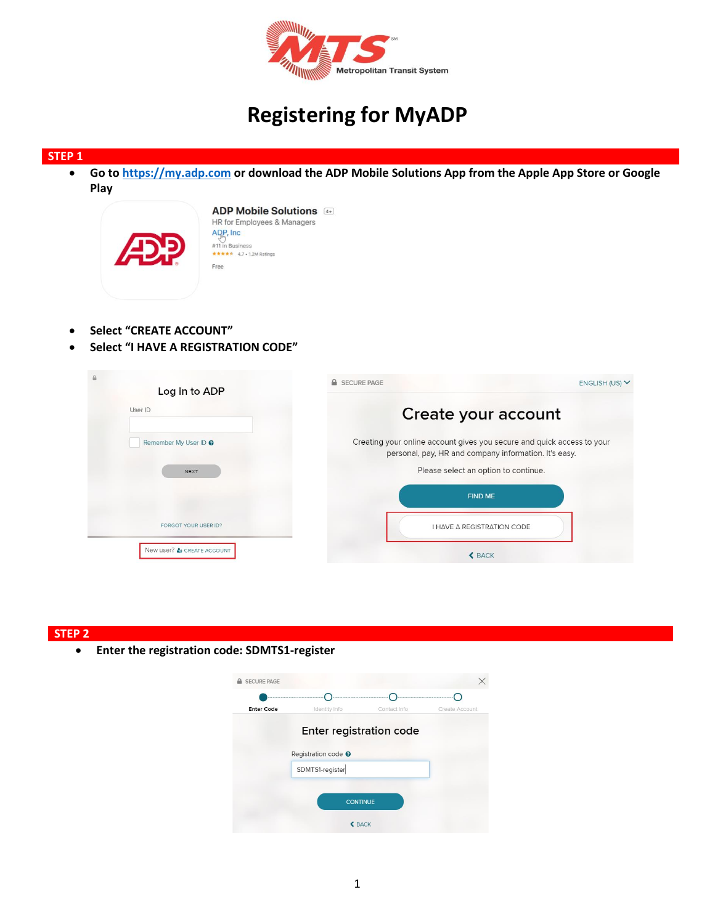

# **Registering for MyADP**

#### **STEP 1**

 **Go to [https://my.adp.com](https://my.adp.com/) or download the ADP Mobile Solutions App from the Apple App Store or Google Play** 

| <b>ADP Mobile Solutions</b><br>HR for Employees & Managers<br>ADP. Inc.<br>#11 in Business<br>***** 4.7 . 1.2M Ratings<br>Free |  |
|--------------------------------------------------------------------------------------------------------------------------------|--|
|                                                                                                                                |  |

- **Select "CREATE ACCOUNT"**
- **Select "I HAVE A REGISTRATION CODE"**

| Log in to ADP              | <b>SECURE PAGE</b>                                                                                                              | ENGLISH (US) V |
|----------------------------|---------------------------------------------------------------------------------------------------------------------------------|----------------|
| User ID                    | Create your account                                                                                                             |                |
| Remember My User ID @      | Creating your online account gives you secure and quick access to your<br>personal, pay, HR and company information. It's easy. |                |
| <b>NEXT</b>                | Please select an option to continue.                                                                                            |                |
|                            | <b>FIND ME</b>                                                                                                                  |                |
| FORGOT YOUR USER ID?       | I HAVE A REGISTRATION CODE                                                                                                      |                |
| New user? & CREATE ACCOUNT | <b>&lt; BACK</b>                                                                                                                |                |

## **STEP 2**

**Enter the registration code: SDMTS1-register**

| <b>SECURE PAGE</b> |                                |                         |                |
|--------------------|--------------------------------|-------------------------|----------------|
| <b>Enter Code</b>  | Identity Info                  | Contact Info            | Create Account |
|                    |                                | Enter registration code |                |
|                    | Registration code <sup>O</sup> |                         |                |
|                    | SDMTS1-register                |                         |                |
|                    |                                |                         |                |
|                    |                                | <b>CONTINUE</b>         |                |
|                    |                                | <b>&lt; BACK</b>        |                |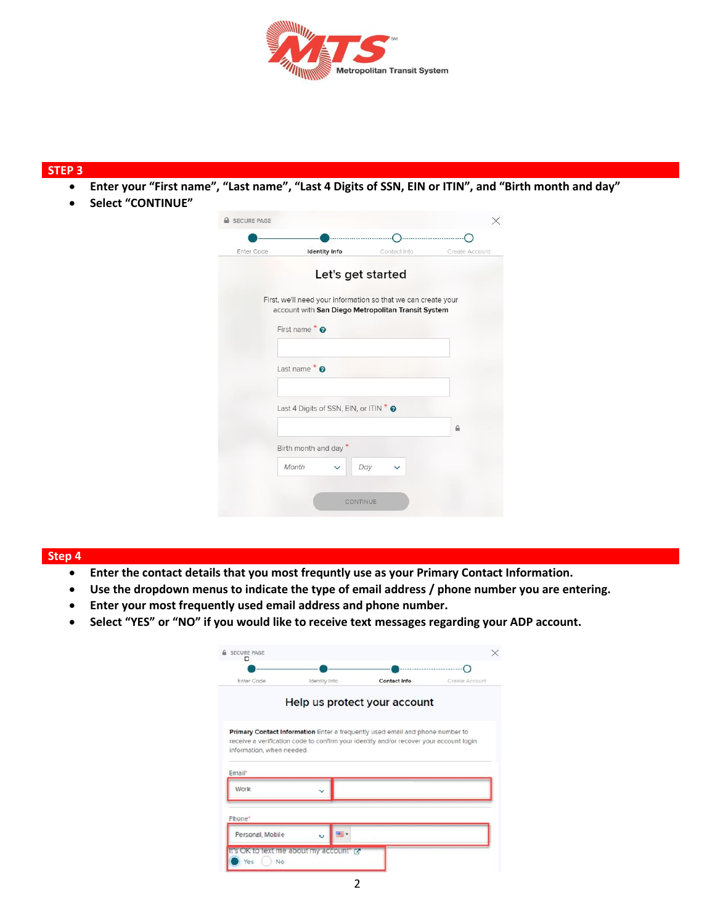

#### **STEP 3**

- **Enter your "First name", "Last name", "Last 4 Digits of SSN, EIN or ITIN", and "Birth month and day"**
- **Select "CONTINUE"**

| Enter Code | <b>Identity Info</b>                                                                                                |                   | Contact Info | Create Account |
|------------|---------------------------------------------------------------------------------------------------------------------|-------------------|--------------|----------------|
|            |                                                                                                                     | Let's get started |              |                |
|            | First, we'll need your information so that we can create your<br>account with San Diego Metropolitan Transit System |                   |              |                |
|            | First name $*$ $\boldsymbol{\Omega}$                                                                                |                   |              |                |
|            |                                                                                                                     |                   |              |                |
|            | Last name $\bullet$ $\bullet$                                                                                       |                   |              |                |
|            |                                                                                                                     |                   |              |                |
|            | Last 4 Digits of SSN, EIN, or ITIN * @                                                                              |                   |              |                |
|            |                                                                                                                     |                   |              | ₽              |
|            | Birth month and day *                                                                                               |                   |              |                |
|            | Month                                                                                                               | Day               |              |                |

# **Step 4**

- **Enter the contact details that you most frequntly use as your Primary Contact Information.**
- **Use the dropdown menus to indicate the type of email address / phone number you are entering.**
- **Enter your most frequently used email address and phone number.**
- **Select "YES" or "NO" if you would like to receive text messages regarding your ADP account.**

| Enter Code                             | Identity Info | <b>Contact Info</b>                                                                                                                                                     | Create Account |
|----------------------------------------|---------------|-------------------------------------------------------------------------------------------------------------------------------------------------------------------------|----------------|
|                                        |               | Help us protect your account                                                                                                                                            |                |
|                                        |               | Primary Contact Information Enter a frequently used email and phone number to<br>receive a verification code to confirm your identity and/or recover your account login |                |
|                                        |               |                                                                                                                                                                         |                |
| information, when needed.              |               |                                                                                                                                                                         |                |
| Email*                                 |               |                                                                                                                                                                         |                |
| Work                                   |               |                                                                                                                                                                         |                |
|                                        |               |                                                                                                                                                                         |                |
| Phone <sup>-</sup><br>Personal, Mobile | mill +        |                                                                                                                                                                         |                |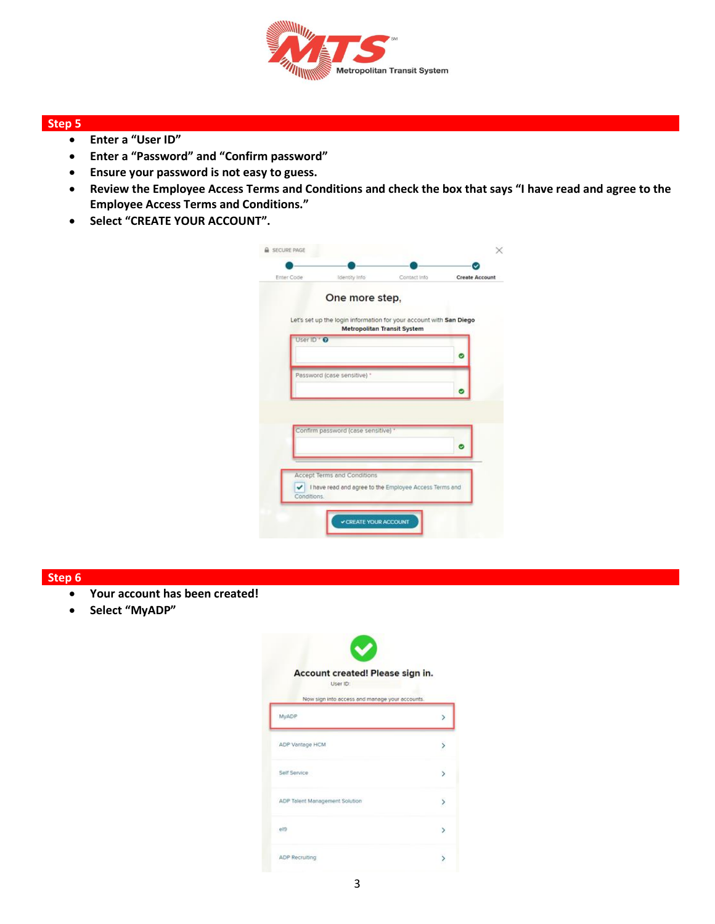

## **Step 5**

- **Enter a "User ID"**
- **Enter a "Password" and "Confirm password"**
- **Ensure your password is not easy to guess.**
- **Review the Employee Access Terms and Conditions and check the box that says "I have read and agree to the Employee Access Terms and Conditions."**
- **Select "CREATE YOUR ACCOUNT".**

| Enter Code  | <b>Identity</b> Info                                                                  | Contact Info                       | <b>Create Account</b> |
|-------------|---------------------------------------------------------------------------------------|------------------------------------|-----------------------|
|             | One more step,                                                                        |                                    |                       |
|             | Let's set up the login information for your account with San Diego                    | <b>Metropolitan Transit System</b> |                       |
| User ID * O |                                                                                       |                                    |                       |
|             |                                                                                       |                                    | 0                     |
|             | Password (case sensitive) *                                                           |                                    |                       |
|             |                                                                                       |                                    |                       |
|             |                                                                                       |                                    |                       |
|             |                                                                                       |                                    |                       |
|             | Confirm password (case sensitive)                                                     |                                    |                       |
|             |                                                                                       |                                    | ◎                     |
|             |                                                                                       |                                    |                       |
|             |                                                                                       |                                    |                       |
| Conditions. |                                                                                       |                                    |                       |
| ✓           | Accept Terms and Conditions<br>I have read and agree to the Employee Access Terms and |                                    |                       |

## **Step 6**

- **Your account has been created!**
- **Select "MyADP"**

| Account created! Please sign in.<br>User ID:            |  |
|---------------------------------------------------------|--|
| Now sign into access and manage your accounts.<br>MyADP |  |
|                                                         |  |
| ADP Vantage HCM                                         |  |
| Self Service                                            |  |
| ADP Talent Management Solution                          |  |
| e19                                                     |  |
| ADP Recruiting                                          |  |